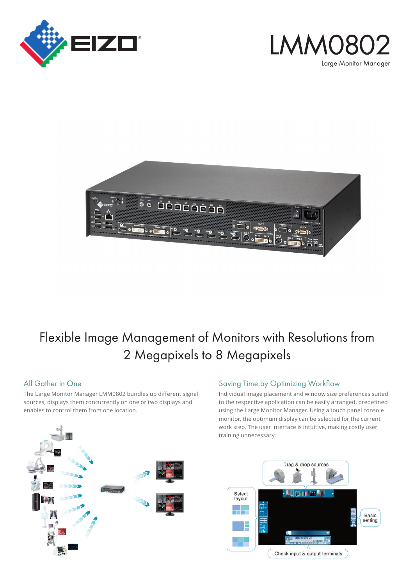





## Flexible Image Management of Monitors with Resolutions from 2 Megapixels to 8 Megapixels

#### All Gather in One

The Large Monitor Manager LMM0802 bundles up different signal sources, displays them concurrently on one or two displays and enables to control them from one location.

#### Saving Time by Optimizing Workflow

Individual image placement and window size preferences suited to the respective application can be easily arranged, predefined using the Large Monitor Manager. Using a touch panel console monitor, the optimum display can be selected for the current work step. The user interface is intuitive, making costly user training unnecessary.